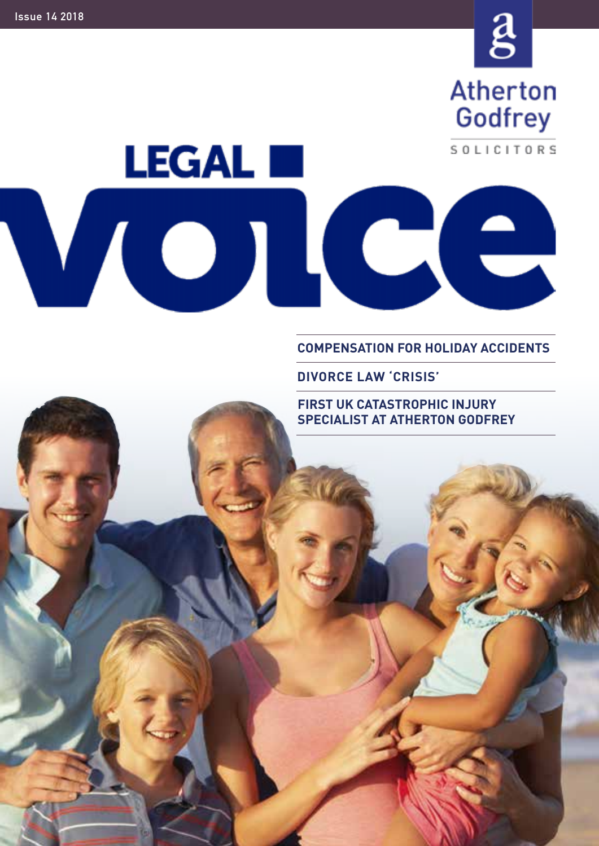

SOLICITORS

# **LEGAL III**  $\blacksquare$  $\bigcup$

**COMPENSATION FOR HOLIDAY ACCIDENTS**

**DIVORCE LAW 'CRISIS'**

**FIRST UK CATASTROPHIC INJURY SPECIALIST AT ATHERTON GODFREY**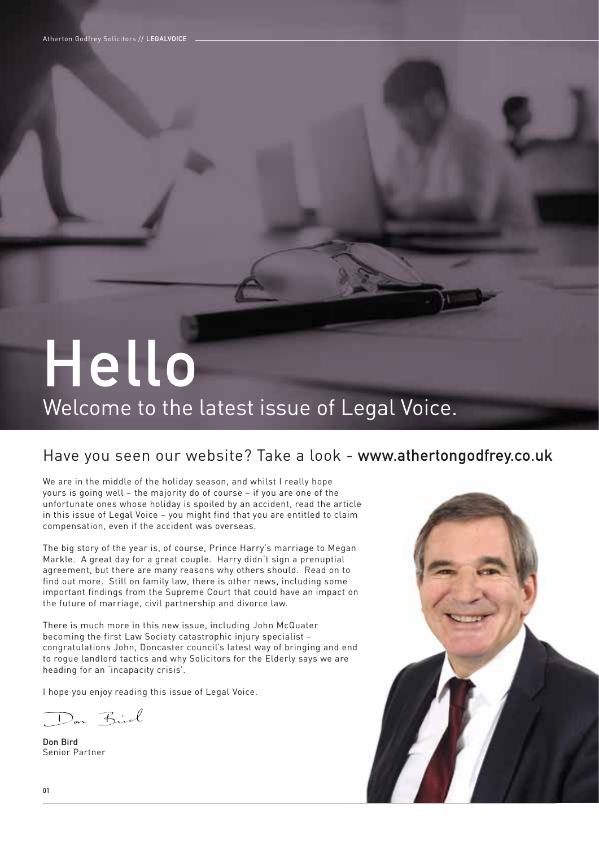# **Hello**

### Welcome to the latest issue of Legal Voice.

#### Have you seen our website? Take a look - **www.athertongodfrey.co.uk**

We are in the middle of the holiday season, and whilst I really hope yours is going well – the majority do of course – if you are one of the unfortunate ones whose holiday is spoiled by an accident, read the article in this issue of Legal Voice – you might find that you are entitled to claim compensation, even if the accident was overseas.

The big story of the year is, of course, Prince Harry's marriage to Megan Markle. A great day for a great couple. Harry didn't sign a prenuptial agreement, but there are many reasons why others should. Read on to find out more. Still on family law, there is other news, including some important findings from the Supreme Court that could have an impact on the future of marriage, civil partnership and divorce law.

There is much more in this new issue, including John McQuater becoming the first Law Society catastrophic injury specialist – congratulations John, Doncaster council's latest way of bringing and end to rogue landlord tactics and why Solicitors for the Elderly says we are heading for an 'incapacity crisis'.

I hope you enjoy reading this issue of Legal Voice.

Don Birl

**Don Bird** Senior Partner

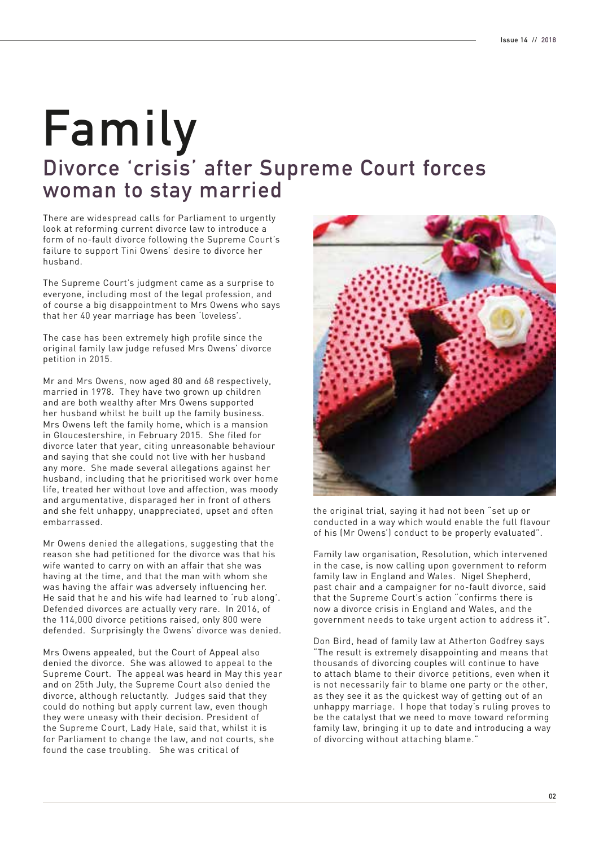# **Divorce 'crisis' after Supreme Court forces woman to stay married Family**

There are widespread calls for Parliament to urgently look at reforming current divorce law to introduce a form of no-fault divorce following the Supreme Court's failure to support Tini Owens' desire to divorce her husband.

The Supreme Court's judgment came as a surprise to everyone, including most of the legal profession, and of course a big disappointment to Mrs Owens who says that her 40 year marriage has been 'loveless'.

The case has been extremely high profile since the original family law judge refused Mrs Owens' divorce petition in 2015.

Mr and Mrs Owens, now aged 80 and 68 respectively, married in 1978. They have two grown up children and are both wealthy after Mrs Owens supported her husband whilst he built up the family business. Mrs Owens left the family home, which is a mansion in Gloucestershire, in February 2015. She filed for divorce later that year, citing unreasonable behaviour and saying that she could not live with her husband any more. She made several allegations against her husband, including that he prioritised work over home life, treated her without love and affection, was moody and argumentative, disparaged her in front of others and she felt unhappy, unappreciated, upset and often embarrassed.

Mr Owens denied the allegations, suggesting that the reason she had petitioned for the divorce was that his wife wanted to carry on with an affair that she was having at the time, and that the man with whom she was having the affair was adversely influencing her. He said that he and his wife had learned to 'rub along'. Defended divorces are actually very rare. In 2016, of the 114,000 divorce petitions raised, only 800 were defended. Surprisingly the Owens' divorce was denied.

Mrs Owens appealed, but the Court of Appeal also denied the divorce. She was allowed to appeal to the Supreme Court. The appeal was heard in May this year and on 25th July, the Supreme Court also denied the divorce, although reluctantly. Judges said that they could do nothing but apply current law, even though they were uneasy with their decision. President of the Supreme Court, Lady Hale, said that, whilst it is for Parliament to change the law, and not courts, she found the case troubling. She was critical of



the original trial, saying it had not been "set up or conducted in a way which would enable the full flavour of his (Mr Owens') conduct to be properly evaluated".

Family law organisation, Resolution, which intervened in the case, is now calling upon government to reform family law in England and Wales. Nigel Shepherd, past chair and a campaigner for no-fault divorce, said that the Supreme Court's action "confirms there is now a divorce crisis in England and Wales, and the government needs to take urgent action to address it".

Don Bird, head of family law at Atherton Godfrey says "The result is extremely disappointing and means that thousands of divorcing couples will continue to have to attach blame to their divorce petitions, even when it is not necessarily fair to blame one party or the other, as they see it as the quickest way of getting out of an unhappy marriage. I hope that today's ruling proves to be the catalyst that we need to move toward reforming family law, bringing it up to date and introducing a way of divorcing without attaching blame."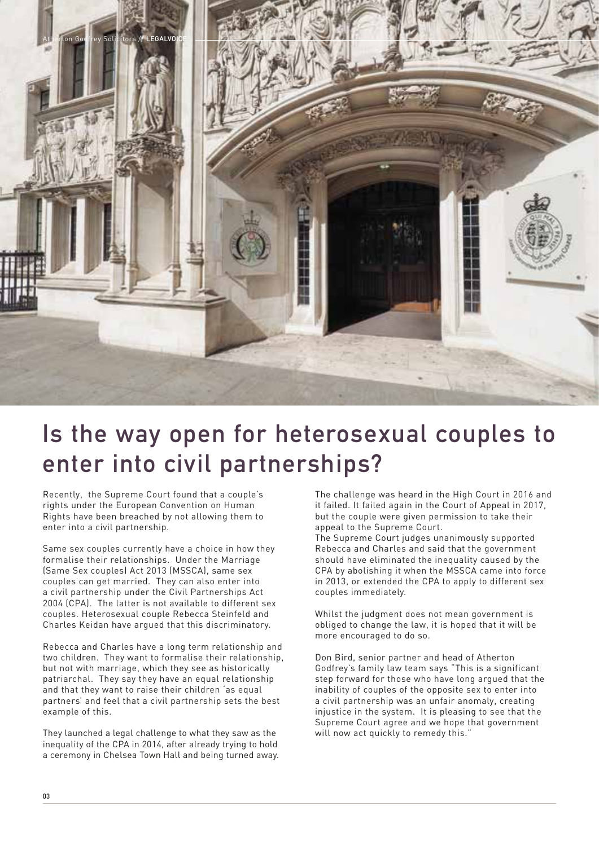

# **Is the way open for heterosexual couples to enter into civil partnerships?**

Recently, the Supreme Court found that a couple's rights under the European Convention on Human Rights have been breached by not allowing them to enter into a civil partnership.

Same sex couples currently have a choice in how they formalise their relationships. Under the Marriage (Same Sex couples) Act 2013 (MSSCA), same sex couples can get married. They can also enter into a civil partnership under the Civil Partnerships Act 2004 (CPA). The latter is not available to different sex couples. Heterosexual couple Rebecca Steinfeld and Charles Keidan have argued that this discriminatory.

Rebecca and Charles have a long term relationship and two children. They want to formalise their relationship, but not with marriage, which they see as historically patriarchal. They say they have an equal relationship and that they want to raise their children 'as equal partners' and feel that a civil partnership sets the best example of this.

They launched a legal challenge to what they saw as the inequality of the CPA in 2014, after already trying to hold a ceremony in Chelsea Town Hall and being turned away.

The challenge was heard in the High Court in 2016 and it failed. It failed again in the Court of Appeal in 2017, but the couple were given permission to take their appeal to the Supreme Court.

The Supreme Court judges unanimously supported Rebecca and Charles and said that the government should have eliminated the inequality caused by the CPA by abolishing it when the MSSCA came into force in 2013, or extended the CPA to apply to different sex couples immediately.

Whilst the judgment does not mean government is obliged to change the law, it is hoped that it will be more encouraged to do so.

Don Bird, senior partner and head of Atherton Godfrey's family law team says "This is a significant step forward for those who have long argued that the inability of couples of the opposite sex to enter into a civil partnership was an unfair anomaly, creating injustice in the system. It is pleasing to see that the Supreme Court agree and we hope that government will now act quickly to remedy this."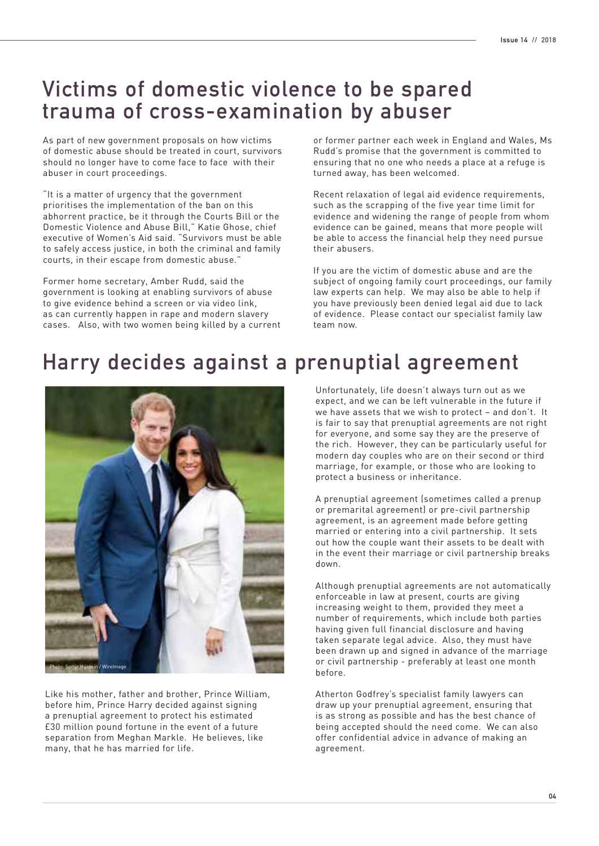#### **Victims of domestic violence to be spared trauma of cross-examination by abuser**

As part of new government proposals on how victims of domestic abuse should be treated in court, survivors should no longer have to come face to face with their abuser in court proceedings.

"It is a matter of urgency that the government prioritises the implementation of the ban on this abhorrent practice, be it through the Courts Bill or the Domestic Violence and Abuse Bill," Katie Ghose, chief executive of Women's Aid said. "Survivors must be able to safely access justice, in both the criminal and family courts, in their escape from domestic abuse."

Former home secretary, Amber Rudd, said the government is looking at enabling survivors of abuse to give evidence behind a screen or via video link, as can currently happen in rape and modern slavery cases. Also, with two women being killed by a current or former partner each week in England and Wales, Ms Rudd's promise that the government is committed to ensuring that no one who needs a place at a refuge is turned away, has been welcomed.

Recent relaxation of legal aid evidence requirements, such as the scrapping of the five year time limit for evidence and widening the range of people from whom evidence can be gained, means that more people will be able to access the financial help they need pursue their abusers.

If you are the victim of domestic abuse and are the subject of ongoing family court proceedings, our family law experts can help. We may also be able to help if you have previously been denied legal aid due to lack of evidence. Please contact our specialist family law team now.

### **Harry decides against a prenuptial agreement**



Like his mother, father and brother, Prince William, before him, Prince Harry decided against signing a prenuptial agreement to protect his estimated £30 million pound fortune in the event of a future separation from Meghan Markle. He believes, like many, that he has married for life.

Unfortunately, life doesn't always turn out as we expect, and we can be left vulnerable in the future if we have assets that we wish to protect – and don't. It is fair to say that prenuptial agreements are not right for everyone, and some say they are the preserve of the rich. However, they can be particularly useful for modern day couples who are on their second or third marriage, for example, or those who are looking to protect a business or inheritance.

A prenuptial agreement (sometimes called a prenup or premarital agreement) or pre-civil partnership agreement, is an agreement made before getting married or entering into a civil partnership. It sets out how the couple want their assets to be dealt with in the event their marriage or civil partnership breaks down.

Although prenuptial agreements are not automatically enforceable in law at present, courts are giving increasing weight to them, provided they meet a number of requirements, which include both parties having given full financial disclosure and having taken separate legal advice. Also, they must have been drawn up and signed in advance of the marriage or civil partnership - preferably at least one month before.

Atherton Godfrey's specialist family lawyers can draw up your prenuptial agreement, ensuring that is as strong as possible and has the best chance of being accepted should the need come. We can also offer confidential advice in advance of making an agreement.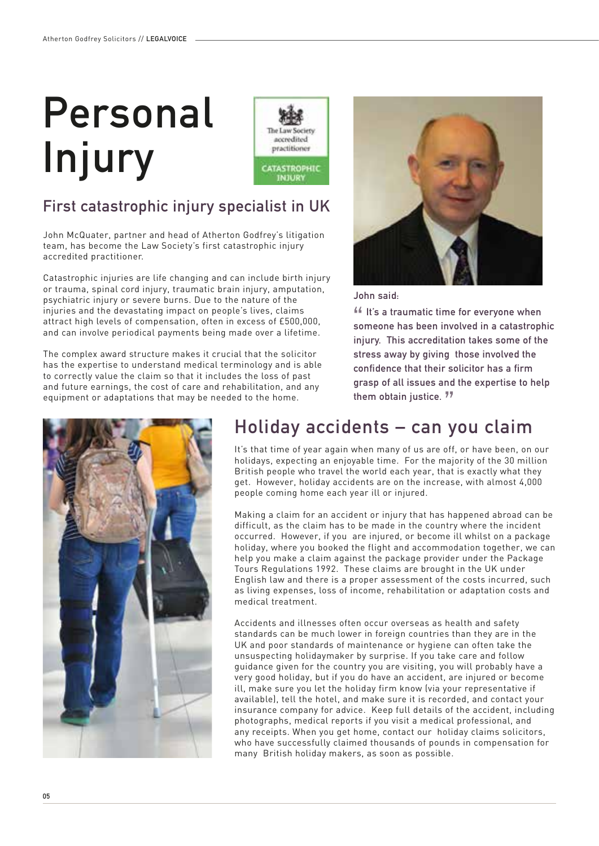# **Personal Injury**



#### **First catastrophic injury specialist in UK**

John McQuater, partner and head of Atherton Godfrey's litigation team, has become the Law Society's first catastrophic injury accredited practitioner.

Catastrophic injuries are life changing and can include birth injury or trauma, spinal cord injury, traumatic brain injury, amputation, psychiatric injury or severe burns. Due to the nature of the injuries and the devastating impact on people's lives, claims attract high levels of compensation, often in excess of £500,000, and can involve periodical payments being made over a lifetime.

The complex award structure makes it crucial that the solicitor has the expertise to understand medical terminology and is able to correctly value the claim so that it includes the loss of past and future earnings, the cost of care and rehabilitation, and any equipment or adaptations that may be needed to the home.



**John said:**

 **It's a traumatic time for everyone when someone has been involved in a catastrophic injury. This accreditation takes some of the stress away by giving those involved the confidence that their solicitor has a firm grasp of all issues and the expertise to help them obtain justice.**



#### **Holiday accidents – can you claim**

It's that time of year again when many of us are off, or have been, on our holidays, expecting an enjoyable time. For the majority of the 30 million British people who travel the world each year, that is exactly what they get. However, holiday accidents are on the increase, with almost 4,000 people coming home each year ill or injured.

Making a claim for an accident or injury that has happened abroad can be difficult, as the claim has to be made in the country where the incident occurred. However, if you are injured, or become ill whilst on a package holiday, where you booked the flight and accommodation together, we can help you make a claim against the package provider under the Package Tours Regulations 1992. These claims are brought in the UK under English law and there is a proper assessment of the costs incurred, such as living expenses, loss of income, rehabilitation or adaptation costs and medical treatment.

Accidents and illnesses often occur overseas as health and safety standards can be much lower in foreign countries than they are in the UK and poor standards of maintenance or hygiene can often take the unsuspecting holidaymaker by surprise. If you take care and follow guidance given for the country you are visiting, you will probably have a very good holiday, but if you do have an accident, are injured or become ill, make sure you let the holiday firm know (via your representative if available), tell the hotel, and make sure it is recorded, and contact your insurance company for advice. Keep full details of the accident, including photographs, medical reports if you visit a medical professional, and any receipts. When you get home, contact our holiday claims solicitors, who have successfully claimed thousands of pounds in compensation for many British holiday makers, as soon as possible.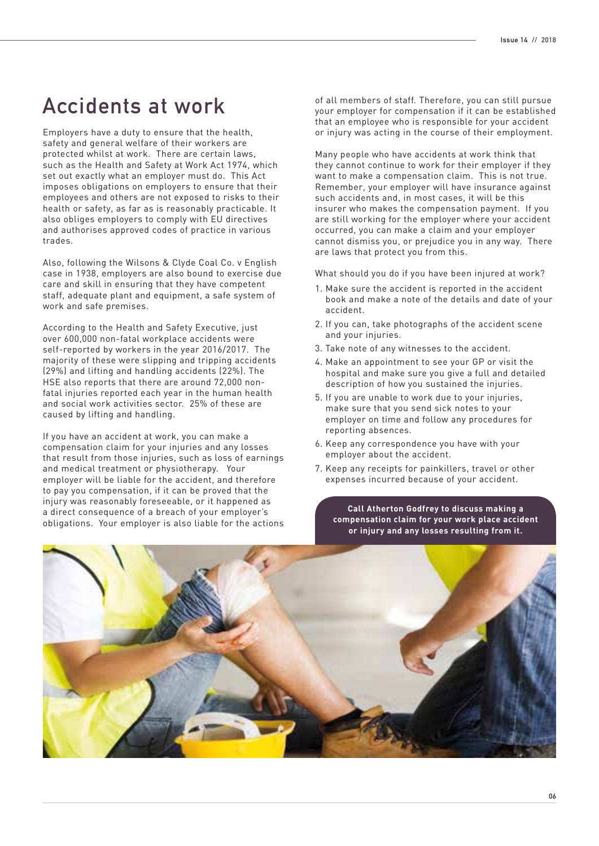#### **Accidents at work**

Employers have a duty to ensure that the health, safety and general welfare of their workers are protected whilst at work. There are certain laws, such as the Health and Safety at Work Act 1974, which set out exactly what an employer must do. This Act imposes obligations on employers to ensure that their employees and others are not exposed to risks to their health or safety, as far as is reasonably practicable. It also obliges employers to comply with EU directives and authorises approved codes of practice in various trades.

Also, following the Wilsons & Clyde Coal Co. v English case in 1938, employers are also bound to exercise due care and skill in ensuring that they have competent staff, adequate plant and equipment, a safe system of work and safe premises.

According to the Health and Safety Executive, just over 600,000 non-fatal workplace accidents were self-reported by workers in the year 2016/2017. The majority of these were slipping and tripping accidents (29%) and lifting and handling accidents (22%). The HSE also reports that there are around 72,000 nonfatal injuries reported each year in the human health and social work activities sector. 25% of these are caused by lifting and handling.

If you have an accident at work, you can make a compensation claim for your injuries and any losses that result from those injuries, such as loss of earnings and medical treatment or physiotherapy. Your employer will be liable for the accident, and therefore to pay you compensation, if it can be proved that the injury was reasonably foreseeable, or it happened as a direct consequence of a breach of your employer's obligations. Your employer is also liable for the actions

of all members of staff. Therefore, you can still pursue your employer for compensation if it can be established that an employee who is responsible for your accident or injury was acting in the course of their employment.

Many people who have accidents at work think that they cannot continue to work for their employer if they want to make a compensation claim. This is not true. Remember, your employer will have insurance against such accidents and, in most cases, it will be this insurer who makes the compensation payment. If you are still working for the employer where your accident occurred, you can make a claim and your employer cannot dismiss you, or prejudice you in any way. There are laws that protect you from this.

What should you do if you have been injured at work?

- 1. Make sure the accident is reported in the accident book and make a note of the details and date of your accident.
- 2. If you can, take photographs of the accident scene and your injuries.
- 3. Take note of any witnesses to the accident.
- 4. Make an appointment to see your GP or visit the hospital and make sure you give a full and detailed description of how you sustained the injuries.
- 5. If you are unable to work due to your injuries, make sure that you send sick notes to your employer on time and follow any procedures for reporting absences.
- 6. Keep any correspondence you have with your employer about the accident.
- 7. Keep any receipts for painkillers, travel or other expenses incurred because of your accident.

**Call Atherton Godfrey to discuss making a compensation claim for your work place accident or injury and any losses resulting from it.**

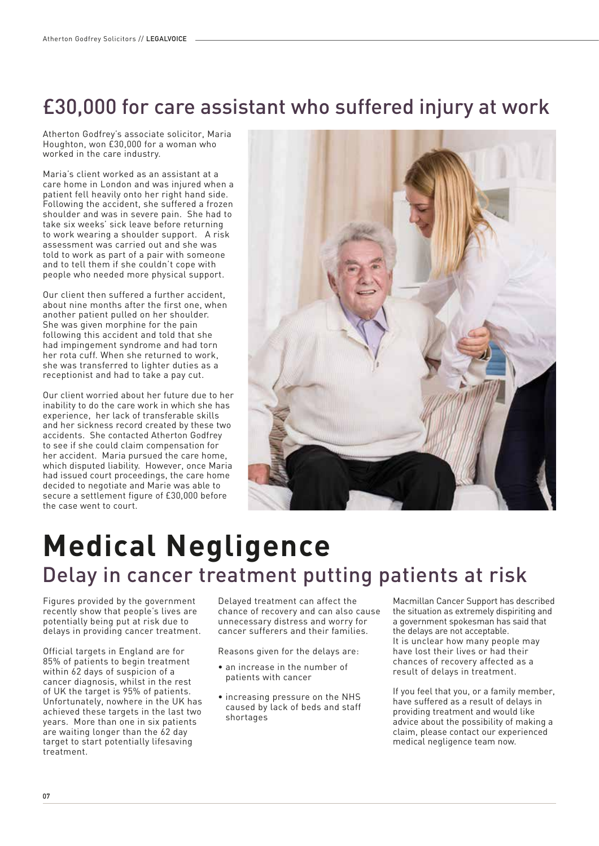## £30,000 for care assistant who suffered injury at work

Atherton Godfrey's associate solicitor, Maria Houghton, won £30,000 for a woman who worked in the care industry.

Maria's client worked as an assistant at a care home in London and was injured when a patient fell heavily onto her right hand side. Following the accident, she suffered a frozen shoulder and was in severe pain. She had to take six weeks' sick leave before returning to work wearing a shoulder support. A risk assessment was carried out and she was told to work as part of a pair with someone and to tell them if she couldn't cope with people who needed more physical support.

Our client then suffered a further accident, about nine months after the first one, when another patient pulled on her shoulder. She was given morphine for the pain following this accident and told that she had impingement syndrome and had torn her rota cuff. When she returned to work, she was transferred to lighter duties as a receptionist and had to take a pay cut.

Our client worried about her future due to her inability to do the care work in which she has experience, her lack of transferable skills and her sickness record created by these two accidents. She contacted Atherton Godfrey to see if she could claim compensation for her accident. Maria pursued the care home, which disputed liability. However, once Maria had issued court proceedings, the care home decided to negotiate and Marie was able to secure a settlement figure of £30,000 before the case went to court.



# **Medical Negligence** Delay in cancer treatment putting patients at risk

Figures provided by the government recently show that people's lives are potentially being put at risk due to delays in providing cancer treatment.

Official targets in England are for 85% of patients to begin treatment within 62 days of suspicion of a cancer diagnosis, whilst in the rest of UK the target is 95% of patients. Unfortunately, nowhere in the UK has achieved these targets in the last two years. More than one in six patients are waiting longer than the 62 day target to start potentially lifesaving treatment.

Delayed treatment can affect the chance of recovery and can also cause unnecessary distress and worry for cancer sufferers and their families.

Reasons given for the delays are:

- an increase in the number of patients with cancer
- increasing pressure on the NHS caused by lack of beds and staff shortages

Macmillan Cancer Support has described the situation as extremely dispiriting and a government spokesman has said that the delays are not acceptable. It is unclear how many people may have lost their lives or had their chances of recovery affected as a result of delays in treatment.

If you feel that you, or a family member, have suffered as a result of delays in providing treatment and would like advice about the possibility of making a claim, please contact our experienced medical negligence team now.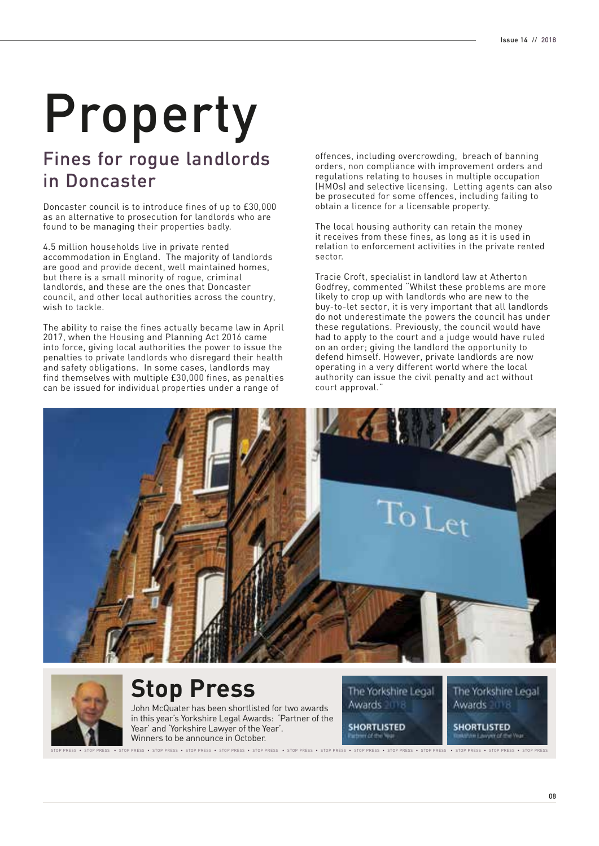# **Property**

#### **Fines for rogue landlords in Doncaster**

Doncaster council is to introduce fines of up to £30,000 as an alternative to prosecution for landlords who are found to be managing their properties badly.

4.5 million households live in private rented accommodation in England. The majority of landlords are good and provide decent, well maintained homes, but there is a small minority of rogue, criminal landlords, and these are the ones that Doncaster council, and other local authorities across the country, wish to tackle.

The ability to raise the fines actually became law in April 2017, when the Housing and Planning Act 2016 came into force, giving local authorities the power to issue the penalties to private landlords who disregard their health and safety obligations. In some cases, landlords may find themselves with multiple £30,000 fines, as penalties can be issued for individual properties under a range of

offences, including overcrowding, breach of banning orders, non compliance with improvement orders and regulations relating to houses in multiple occupation (HMOs) and selective licensing. Letting agents can also be prosecuted for some offences, including failing to obtain a licence for a licensable property.

The local housing authority can retain the money it receives from these fines, as long as it is used in relation to enforcement activities in the private rented sector.

Tracie Croft, specialist in landlord law at Atherton Godfrey, commented "Whilst these problems are more likely to crop up with landlords who are new to the buy-to-let sector, it is very important that all landlords do not underestimate the powers the council has under these regulations. Previously, the council would have had to apply to the court and a judge would have ruled on an order; giving the landlord the opportunity to defend himself. However, private landlords are now operating in a very different world where the local authority can issue the civil penalty and act without court approval."





# **Stop Press**

John McQuater has been shortlisted for two awards in this year's Yorkshire Legal Awards: 'Partner of the Year' and 'Yorkshire Lawyer of the Year'. Winners to be announce in October.

The Yorkshire Legal Awards ITE

**SHORTLISTED** 

The Yorkshire Legal Awards 1118

**SHORTLISTED** 

PRESS • STOP PRESS • STOP PRESS • STOP PRESS • STOP PRESS • STOP PRESS • STOP PRESS • STOP PRESS • STOP PRESS • STOP PRESS • STOP PRESS • STOP PRESS • STOP PRESS • STOP PRESS • STOP PRESS • STOP PRESS • STOP PRESS • STOP P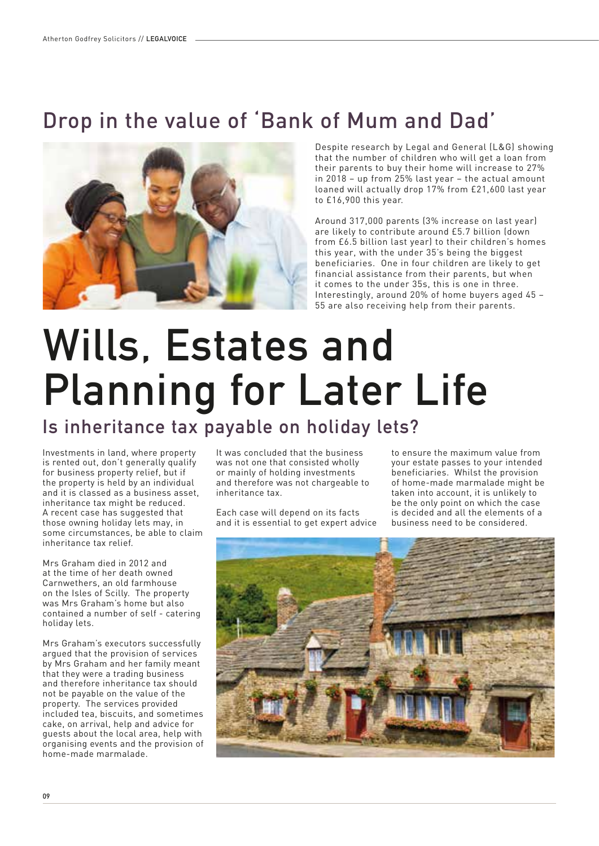# Drop in the value of 'Bank of Mum and Dad'



Despite research by Legal and General (L&G) showing that the number of children who will get a loan from their parents to buy their home will increase to 27% in 2018 – up from 25% last year – the actual amount loaned will actually drop 17% from £21,600 last year to £16,900 this year.

Around 317,000 parents (3% increase on last year) are likely to contribute around £5.7 billion (down from £6.5 billion last year) to their children's homes this year, with the under 35's being the biggest beneficiaries. One in four children are likely to get financial assistance from their parents, but when it comes to the under 35s, this is one in three. Interestingly, around 20% of home buyers aged 45 – 55 are also receiving help from their parents.

# **Wills, Estates and Planning for Later Life**

#### **Is inheritance tax payable on holiday lets?**

Investments in land, where property is rented out, don't generally qualify for business property relief, but if the property is held by an individual and it is classed as a business asset, inheritance tax might be reduced. A recent case has suggested that those owning holiday lets may, in some circumstances, be able to claim inheritance tax relief.

Mrs Graham died in 2012 and at the time of her death owned Carnwethers, an old farmhouse on the Isles of Scilly. The property was Mrs Graham's home but also contained a number of self - catering holiday lets.

Mrs Graham's executors successfully argued that the provision of services by Mrs Graham and her family meant that they were a trading business and therefore inheritance tax should not be payable on the value of the property. The services provided included tea, biscuits, and sometimes cake, on arrival, help and advice for guests about the local area, help with organising events and the provision of home-made marmalade.

It was concluded that the business was not one that consisted wholly or mainly of holding investments and therefore was not chargeable to inheritance tax.

Each case will depend on its facts and it is essential to get expert advice to ensure the maximum value from your estate passes to your intended beneficiaries. Whilst the provision of home-made marmalade might be taken into account, it is unlikely to be the only point on which the case is decided and all the elements of a business need to be considered.

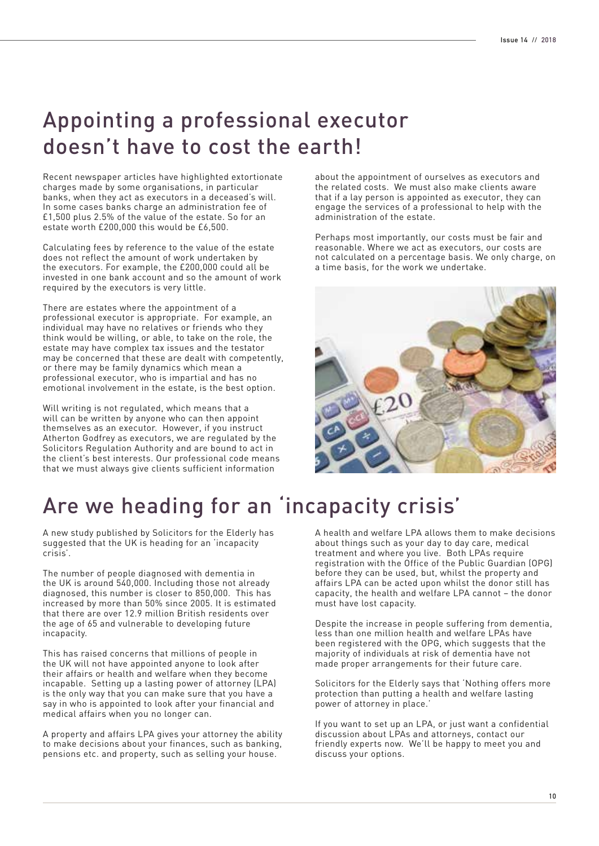#### Appointing a professional executor doesn't have to cost the earth!

Recent newspaper articles have highlighted extortionate charges made by some organisations, in particular banks, when they act as executors in a deceased's will. In some cases banks charge an administration fee of £1,500 plus 2.5% of the value of the estate. So for an estate worth £200,000 this would be £6,500.

Calculating fees by reference to the value of the estate does not reflect the amount of work undertaken by the executors. For example, the £200,000 could all be invested in one bank account and so the amount of work required by the executors is very little.

There are estates where the appointment of a professional executor is appropriate. For example, an individual may have no relatives or friends who they think would be willing, or able, to take on the role, the estate may have complex tax issues and the testator may be concerned that these are dealt with competently, or there may be family dynamics which mean a professional executor, who is impartial and has no emotional involvement in the estate, is the best option.

Will writing is not regulated, which means that a will can be written by anyone who can then appoint themselves as an executor. However, if you instruct Atherton Godfrey as executors, we are regulated by the Solicitors Regulation Authority and are bound to act in the client's best interests. Our professional code means that we must always give clients sufficient information

about the appointment of ourselves as executors and the related costs. We must also make clients aware that if a lay person is appointed as executor, they can engage the services of a professional to help with the administration of the estate.

Perhaps most importantly, our costs must be fair and reasonable. Where we act as executors, our costs are not calculated on a percentage basis. We only charge, on a time basis, for the work we undertake.



## Are we heading for an 'incapacity crisis'

A new study published by Solicitors for the Elderly has suggested that the UK is heading for an 'incapacity crisis'.

The number of people diagnosed with dementia in the UK is around 540,000. Including those not already diagnosed, this number is closer to 850,000. This has increased by more than 50% since 2005. It is estimated that there are over 12.9 million British residents over the age of 65 and vulnerable to developing future incapacity.

This has raised concerns that millions of people in the UK will not have appointed anyone to look after their affairs or health and welfare when they become incapable. Setting up a lasting power of attorney (LPA) is the only way that you can make sure that you have a say in who is appointed to look after your financial and medical affairs when you no longer can.

A property and affairs LPA gives your attorney the ability to make decisions about your finances, such as banking, pensions etc. and property, such as selling your house.

A health and welfare LPA allows them to make decisions about things such as your day to day care, medical treatment and where you live. Both LPAs require registration with the Office of the Public Guardian (OPG) before they can be used, but, whilst the property and affairs LPA can be acted upon whilst the donor still has capacity, the health and welfare LPA cannot – the donor must have lost capacity.

Despite the increase in people suffering from dementia, less than one million health and welfare LPAs have been registered with the OPG, which suggests that the majority of individuals at risk of dementia have not made proper arrangements for their future care.

Solicitors for the Elderly says that 'Nothing offers more protection than putting a health and welfare lasting power of attorney in place.'

If you want to set up an LPA, or just want a confidential discussion about LPAs and attorneys, contact our friendly experts now. We'll be happy to meet you and discuss your options.